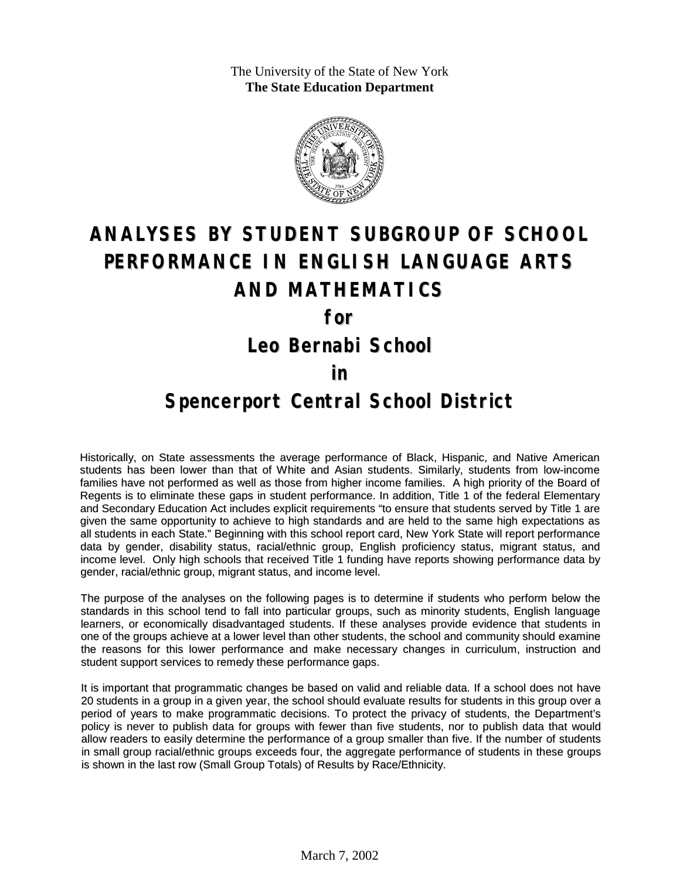The University of the State of New York **The State Education Department**



# **ANALYSES BY STUDENT SUBGROUP OF SCHOOL PERFORMANCE IN ENGLISH LANGUAGE ARTS AND MATHEMATICS for Leo Bernabi School**

#### **in**

### **Spencerport Central School District**

Historically, on State assessments the average performance of Black, Hispanic, and Native American students has been lower than that of White and Asian students. Similarly, students from low-income families have not performed as well as those from higher income families. A high priority of the Board of Regents is to eliminate these gaps in student performance. In addition, Title 1 of the federal Elementary and Secondary Education Act includes explicit requirements "to ensure that students served by Title 1 are given the same opportunity to achieve to high standards and are held to the same high expectations as all students in each State." Beginning with this school report card, New York State will report performance data by gender, disability status, racial/ethnic group, English proficiency status, migrant status, and income level. Only high schools that received Title 1 funding have reports showing performance data by gender, racial/ethnic group, migrant status, and income level.

The purpose of the analyses on the following pages is to determine if students who perform below the standards in this school tend to fall into particular groups, such as minority students, English language learners, or economically disadvantaged students. If these analyses provide evidence that students in one of the groups achieve at a lower level than other students, the school and community should examine the reasons for this lower performance and make necessary changes in curriculum, instruction and student support services to remedy these performance gaps.

It is important that programmatic changes be based on valid and reliable data. If a school does not have 20 students in a group in a given year, the school should evaluate results for students in this group over a period of years to make programmatic decisions. To protect the privacy of students, the Department's policy is never to publish data for groups with fewer than five students, nor to publish data that would allow readers to easily determine the performance of a group smaller than five. If the number of students in small group racial/ethnic groups exceeds four, the aggregate performance of students in these groups is shown in the last row (Small Group Totals) of Results by Race/Ethnicity.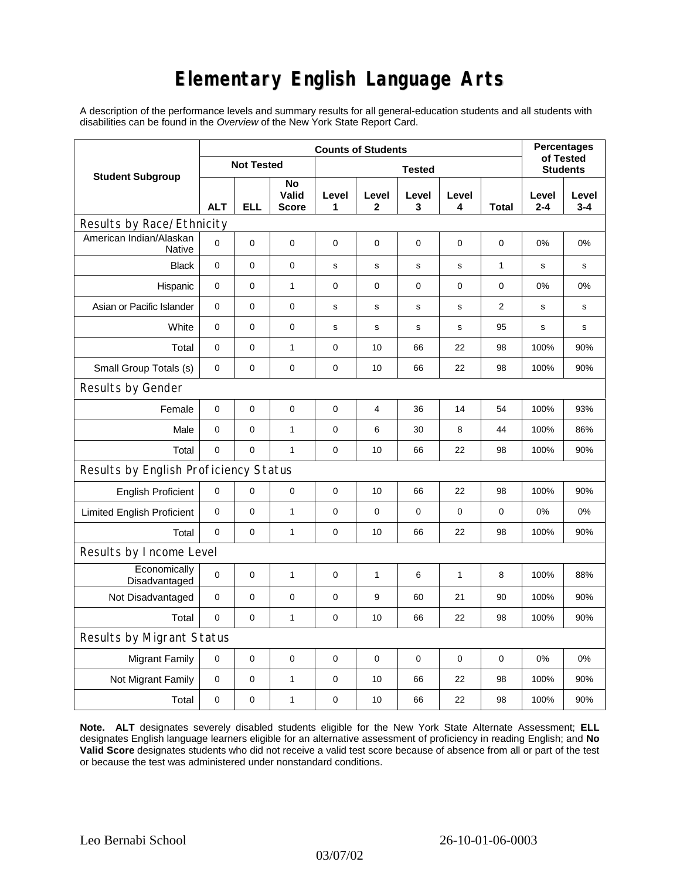# **Elementary English Language Arts**

A description of the performance levels and summary results for all general-education students and all students with disabilities can be found in the *Overview* of the New York State Report Card.

|                                          | <b>Counts of Students</b> |            |                             |               |                       |             |             |                | <b>Percentages</b><br>of Tested |                  |
|------------------------------------------|---------------------------|------------|-----------------------------|---------------|-----------------------|-------------|-------------|----------------|---------------------------------|------------------|
| <b>Student Subgroup</b>                  | <b>Not Tested</b>         |            |                             | <b>Tested</b> |                       |             |             |                | <b>Students</b>                 |                  |
|                                          | <b>ALT</b>                | <b>ELL</b> | No<br>Valid<br><b>Score</b> | Level<br>1    | Level<br>$\mathbf{2}$ | Level<br>3  | Level<br>4  | <b>Total</b>   | Level<br>$2 - 4$                | Level<br>$3 - 4$ |
| Results by Race/Ethnicity                |                           |            |                             |               |                       |             |             |                |                                 |                  |
| American Indian/Alaskan<br><b>Native</b> | $\mathbf 0$               | 0          | $\mathbf 0$                 | $\mathbf 0$   | $\mathbf 0$           | $\mathbf 0$ | $\mathbf 0$ | $\mathbf 0$    | 0%                              | 0%               |
| <b>Black</b>                             | 0                         | 0          | $\pmb{0}$                   | s             | $\mathsf{s}$          | s           | s           | 1              | $\mathbf s$                     | s                |
| Hispanic                                 | 0                         | 0          | 1                           | 0             | 0                     | $\mathbf 0$ | 0           | 0              | 0%                              | 0%               |
| Asian or Pacific Islander                | $\mathbf 0$               | 0          | 0                           | s             | $\mathbf s$           | ${\bf s}$   | $\mathbf s$ | $\overline{2}$ | $\mathbf s$                     | s                |
| White                                    | $\mathbf 0$               | 0          | $\pmb{0}$                   | s             | s                     | $\mathbf s$ | s           | 95             | $\mathbf s$                     | s                |
| Total                                    | $\mathbf 0$               | 0          | 1                           | 0             | 10                    | 66          | 22          | 98             | 100%                            | 90%              |
| Small Group Totals (s)                   | 0                         | 0          | 0                           | 0             | 10                    | 66          | 22          | 98             | 100%                            | 90%              |
| Results by Gender                        |                           |            |                             |               |                       |             |             |                |                                 |                  |
| Female                                   | $\mathbf 0$               | 0          | $\pmb{0}$                   | $\pmb{0}$     | $\overline{4}$        | 36          | 14          | 54             | 100%                            | 93%              |
| Male                                     | $\mathbf 0$               | 0          | 1                           | 0             | 6                     | 30          | 8           | 44             | 100%                            | 86%              |
| Total                                    | $\mathbf 0$               | 0          | $\mathbf{1}$                | $\pmb{0}$     | 10                    | 66          | 22          | 98             | 100%                            | 90%              |
| Results by English Proficiency Status    |                           |            |                             |               |                       |             |             |                |                                 |                  |
| <b>English Proficient</b>                | 0                         | 0          | $\pmb{0}$                   | $\pmb{0}$     | 10                    | 66          | 22          | 98             | 100%                            | 90%              |
| <b>Limited English Proficient</b>        | $\mathbf 0$               | 0          | $\mathbf{1}$                | $\pmb{0}$     | 0                     | $\mathbf 0$ | 0           | 0              | 0%                              | 0%               |
| Total                                    | $\mathbf 0$               | 0          | $\mathbf{1}$                | $\mathbf 0$   | 10                    | 66          | 22          | 98             | 100%                            | 90%              |
| Results by Income Level                  |                           |            |                             |               |                       |             |             |                |                                 |                  |
| Economically<br>Disadvantaged            | $\pmb{0}$                 | 0          | $\mathbf{1}$                | 0             | 1                     | 6           | 1           | 8              | 100%                            | 88%              |
| Not Disadvantaged                        | 0                         | 0          | $\pmb{0}$                   | $\pmb{0}$     | 9                     | 60          | 21          | 90             | 100%                            | 90%              |
| Total                                    | $\mathbf 0$               | 0          | 1                           | 0             | 10                    | 66          | 22          | 98             | 100%                            | 90%              |
| Results by Migrant Status                |                           |            |                             |               |                       |             |             |                |                                 |                  |
| <b>Migrant Family</b>                    | 0                         | 0          | $\pmb{0}$                   | $\pmb{0}$     | 0                     | $\mathbf 0$ | 0           | 0              | 0%                              | 0%               |
| Not Migrant Family                       | $\mathbf 0$               | 0          | $\mathbf{1}$                | $\pmb{0}$     | 10                    | 66          | 22          | 98             | 100%                            | 90%              |
| Total                                    | 0                         | 0          | $\mathbf{1}$                | $\pmb{0}$     | 10                    | 66          | 22          | 98             | 100%                            | 90%              |

**Note. ALT** designates severely disabled students eligible for the New York State Alternate Assessment; **ELL** designates English language learners eligible for an alternative assessment of proficiency in reading English; and **No Valid Score** designates students who did not receive a valid test score because of absence from all or part of the test or because the test was administered under nonstandard conditions.